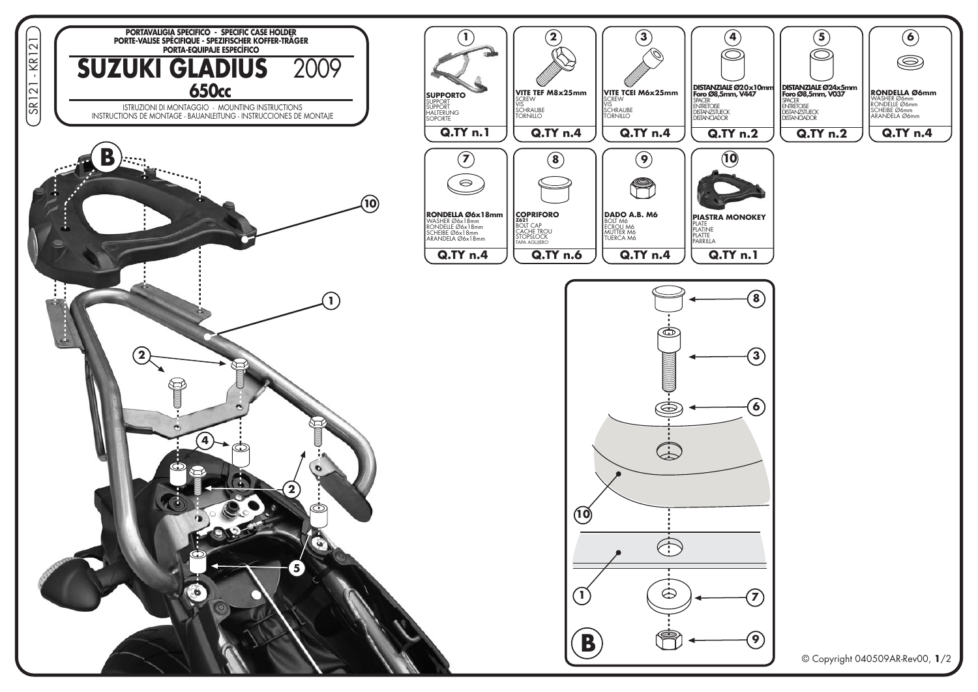

© Copyright 040509AR-Rev00, 1/2

 $\bigcirc$ 

 $\circledcirc$ 

**RONDELLA Ø6mm** 

**Q.TY n.4** 

**RONDELLA SON**<br>WASHER Ø6mm<br>RONDELLE Ø6mm<br>SCHEIBE Ø6mm<br>ARANDELA Ø6mm